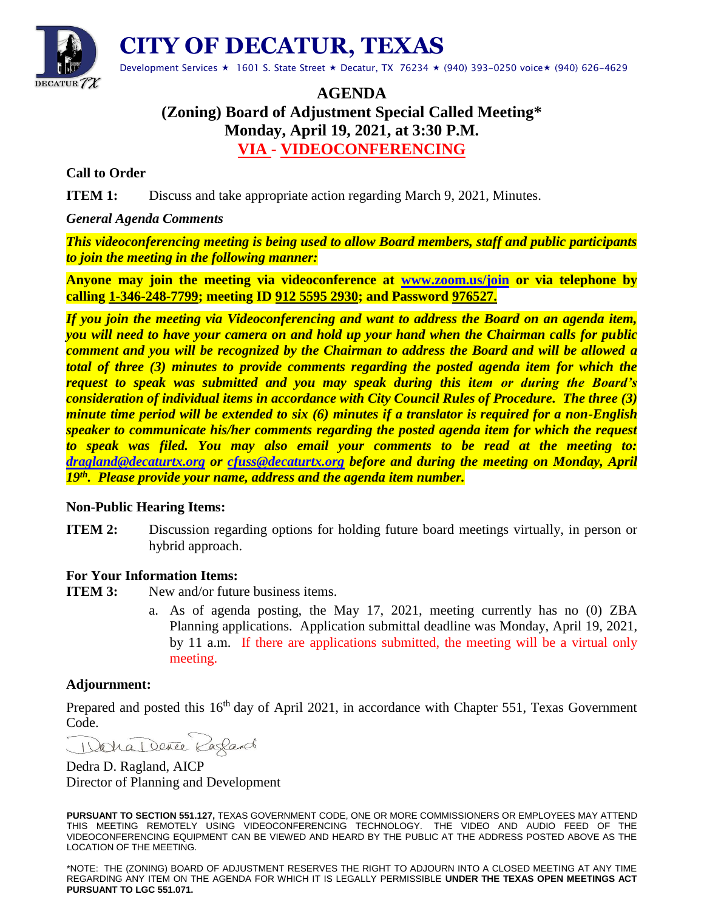

**CITY OF DECATUR, TEXAS** 

Development Services  $\star$  1601 S. State Street  $\star$  Decatur, TX 76234  $\star$  (940) 393-0250 voice  $\star$  (940) 626-4629

# **AGENDA (Zoning) Board of Adjustment Special Called Meeting\* Monday, April 19, 2021, at 3:30 P.M. VIA - VIDEOCONFERENCING**

#### **Call to Order**

**ITEM 1:** Discuss and take appropriate action regarding March 9, 2021, Minutes.

#### *General Agenda Comments*

*This videoconferencing meeting is being used to allow Board members, staff and public participants to join the meeting in the following manner:*

**Anyone may join the meeting via videoconference at [www.zoom.us/join](http://www.zoom.us/join) or via telephone by calling 1-346-248-7799; meeting ID 912 5595 2930; and Password 976527.**

*If you join the meeting via Videoconferencing and want to address the Board on an agenda item, you will need to have your camera on and hold up your hand when the Chairman calls for public comment and you will be recognized by the Chairman to address the Board and will be allowed a total of three (3) minutes to provide comments regarding the posted agenda item for which the request to speak was submitted and you may speak during this item or during the Board's consideration of individual items in accordance with City Council Rules of Procedure. The three (3) minute time period will be extended to six (6) minutes if a translator is required for a non-English speaker to communicate his/her comments regarding the posted agenda item for which the request to speak was filed. You may also email your comments to be read at the meeting to: [dragland@decaturtx.org](mailto:dragland@decaturtx.org) or [cfuss@decaturtx.org](mailto:cfuss@decaturtx.org) before and during the meeting on Monday, April 19th . Please provide your name, address and the agenda item number.* 

#### **Non-Public Hearing Items:**

**ITEM 2:** Discussion regarding options for holding future board meetings virtually, in person or hybrid approach.

### **For Your Information Items:**

**ITEM 3:** New and/or future business items.

a. As of agenda posting, the May 17, 2021, meeting currently has no (0) ZBA Planning applications. Application submittal deadline was Monday, April 19, 2021, by 11 a.m. If there are applications submitted, the meeting will be a virtual only meeting.

#### **Adjournment:**

Prepared and posted this 16<sup>th</sup> day of April 2021, in accordance with Chapter 551, Texas Government Code.

Dela Deve Rafard

Dedra D. Ragland, AICP Director of Planning and Development

**PURSUANT TO SECTION 551.127,** TEXAS GOVERNMENT CODE, ONE OR MORE COMMISSIONERS OR EMPLOYEES MAY ATTEND THIS MEETING REMOTELY USING VIDEOCONFERENCING TECHNOLOGY. THE VIDEO AND AUDIO FEED OF THE VIDEOCONFERENCING EQUIPMENT CAN BE VIEWED AND HEARD BY THE PUBLIC AT THE ADDRESS POSTED ABOVE AS THE LOCATION OF THE MEETING.

\*NOTE: THE (ZONING) BOARD OF ADJUSTMENT RESERVES THE RIGHT TO ADJOURN INTO A CLOSED MEETING AT ANY TIME REGARDING ANY ITEM ON THE AGENDA FOR WHICH IT IS LEGALLY PERMISSIBLE **UNDER THE TEXAS OPEN MEETINGS ACT PURSUANT TO LGC 551.071.**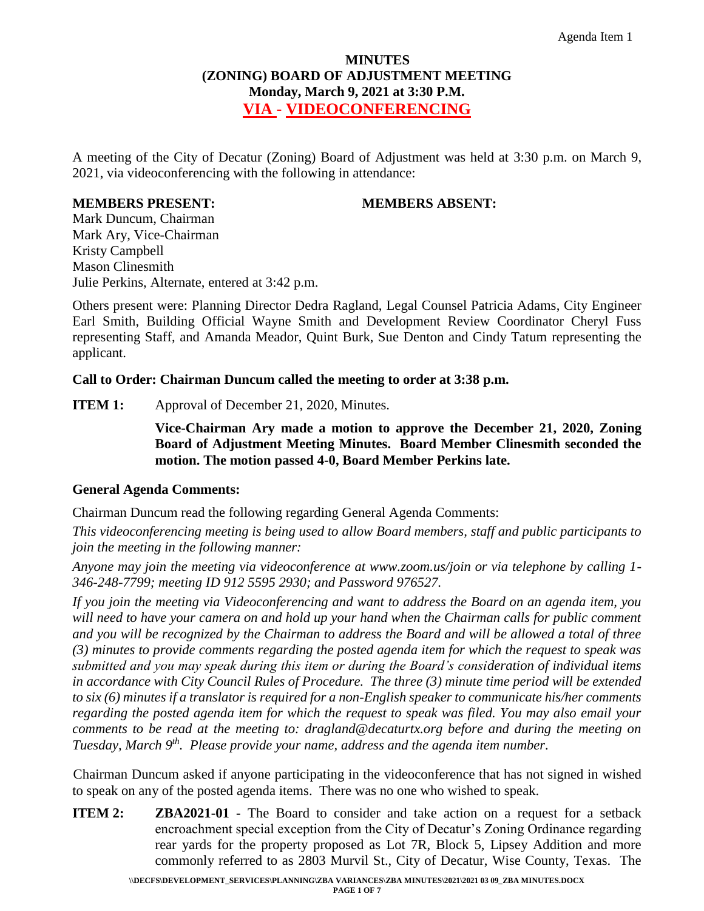# **MINUTES (ZONING) BOARD OF ADJUSTMENT MEETING Monday, March 9, 2021 at 3:30 P.M. VIA - VIDEOCONFERENCING**

A meeting of the City of Decatur (Zoning) Board of Adjustment was held at 3:30 p.m. on March 9, 2021, via videoconferencing with the following in attendance:

### **MEMBERS PRESENT: MEMBERS ABSENT:**

Mark Duncum, Chairman Mark Ary, Vice-Chairman Kristy Campbell Mason Clinesmith Julie Perkins, Alternate, entered at 3:42 p.m.

Others present were: Planning Director Dedra Ragland, Legal Counsel Patricia Adams, City Engineer Earl Smith, Building Official Wayne Smith and Development Review Coordinator Cheryl Fuss representing Staff, and Amanda Meador, Quint Burk, Sue Denton and Cindy Tatum representing the applicant.

## **Call to Order: Chairman Duncum called the meeting to order at 3:38 p.m.**

**ITEM 1:** Approval of December 21, 2020, Minutes.

**Vice-Chairman Ary made a motion to approve the December 21, 2020, Zoning Board of Adjustment Meeting Minutes. Board Member Clinesmith seconded the motion. The motion passed 4-0, Board Member Perkins late.**

### **General Agenda Comments:**

Chairman Duncum read the following regarding General Agenda Comments:

*This videoconferencing meeting is being used to allow Board members, staff and public participants to join the meeting in the following manner:*

*Anyone may join the meeting via videoconference at www.zoom.us/join or via telephone by calling 1- 346-248-7799; meeting ID 912 5595 2930; and Password 976527.*

*If you join the meeting via Videoconferencing and want to address the Board on an agenda item, you will need to have your camera on and hold up your hand when the Chairman calls for public comment and you will be recognized by the Chairman to address the Board and will be allowed a total of three (3) minutes to provide comments regarding the posted agenda item for which the request to speak was submitted and you may speak during this item or during the Board's consideration of individual items in accordance with City Council Rules of Procedure. The three (3) minute time period will be extended to six (6) minutes if a translator is required for a non-English speaker to communicate his/her comments regarding the posted agenda item for which the request to speak was filed. You may also email your comments to be read at the meeting to: dragland@decaturtx.org before and during the meeting on Tuesday, March 9th. Please provide your name, address and the agenda item number.*

Chairman Duncum asked if anyone participating in the videoconference that has not signed in wished to speak on any of the posted agenda items. There was no one who wished to speak.

**ITEM 2: ZBA2021-01** - The Board to consider and take action on a request for a setback encroachment special exception from the City of Decatur's Zoning Ordinance regarding rear yards for the property proposed as Lot 7R, Block 5, Lipsey Addition and more commonly referred to as 2803 Murvil St., City of Decatur, Wise County, Texas. The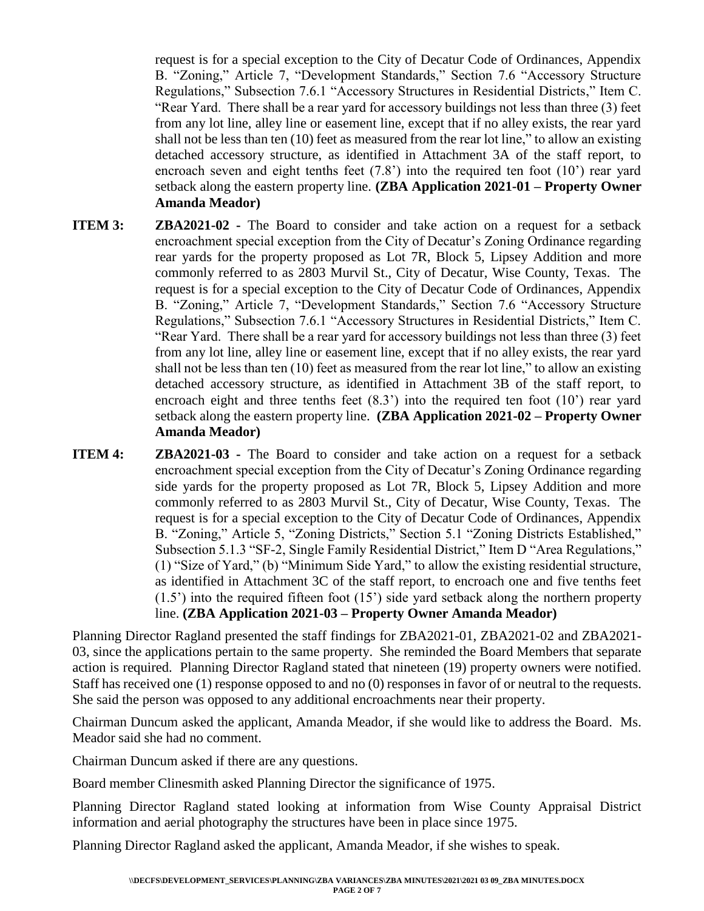request is for a special exception to the City of Decatur Code of Ordinances, Appendix B. "Zoning," Article 7, "Development Standards," Section 7.6 "Accessory Structure Regulations," Subsection 7.6.1 "Accessory Structures in Residential Districts," Item C. "Rear Yard. There shall be a rear yard for accessory buildings not less than three (3) feet from any lot line, alley line or easement line, except that if no alley exists, the rear yard shall not be less than ten (10) feet as measured from the rear lot line," to allow an existing detached accessory structure, as identified in Attachment 3A of the staff report, to encroach seven and eight tenths feet (7.8') into the required ten foot (10') rear yard setback along the eastern property line. **(ZBA Application 2021-01 – Property Owner Amanda Meador)**

- **ITEM 3: ZBA2021-02** The Board to consider and take action on a request for a setback encroachment special exception from the City of Decatur's Zoning Ordinance regarding rear yards for the property proposed as Lot 7R, Block 5, Lipsey Addition and more commonly referred to as 2803 Murvil St., City of Decatur, Wise County, Texas. The request is for a special exception to the City of Decatur Code of Ordinances, Appendix B. "Zoning," Article 7, "Development Standards," Section 7.6 "Accessory Structure Regulations," Subsection 7.6.1 "Accessory Structures in Residential Districts," Item C. "Rear Yard. There shall be a rear yard for accessory buildings not less than three (3) feet from any lot line, alley line or easement line, except that if no alley exists, the rear yard shall not be less than ten (10) feet as measured from the rear lot line," to allow an existing detached accessory structure, as identified in Attachment 3B of the staff report, to encroach eight and three tenths feet (8.3') into the required ten foot (10') rear yard setback along the eastern property line. **(ZBA Application 2021-02 – Property Owner Amanda Meador)**
- **ITEM 4: ZBA2021-03 -** The Board to consider and take action on a request for a setback encroachment special exception from the City of Decatur's Zoning Ordinance regarding side yards for the property proposed as Lot 7R, Block 5, Lipsey Addition and more commonly referred to as 2803 Murvil St., City of Decatur, Wise County, Texas. The request is for a special exception to the City of Decatur Code of Ordinances, Appendix B. "Zoning," Article 5, "Zoning Districts," Section 5.1 "Zoning Districts Established," Subsection 5.1.3 "SF-2, Single Family Residential District," Item D "Area Regulations," (1) "Size of Yard," (b) "Minimum Side Yard," to allow the existing residential structure, as identified in Attachment 3C of the staff report, to encroach one and five tenths feet (1.5') into the required fifteen foot (15') side yard setback along the northern property line. **(ZBA Application 2021-03 – Property Owner Amanda Meador)**

Planning Director Ragland presented the staff findings for ZBA2021-01, ZBA2021-02 and ZBA2021- 03, since the applications pertain to the same property. She reminded the Board Members that separate action is required. Planning Director Ragland stated that nineteen (19) property owners were notified. Staff has received one (1) response opposed to and no (0) responses in favor of or neutral to the requests. She said the person was opposed to any additional encroachments near their property.

Chairman Duncum asked the applicant, Amanda Meador, if she would like to address the Board. Ms. Meador said she had no comment.

Chairman Duncum asked if there are any questions.

Board member Clinesmith asked Planning Director the significance of 1975.

Planning Director Ragland stated looking at information from Wise County Appraisal District information and aerial photography the structures have been in place since 1975.

Planning Director Ragland asked the applicant, Amanda Meador, if she wishes to speak.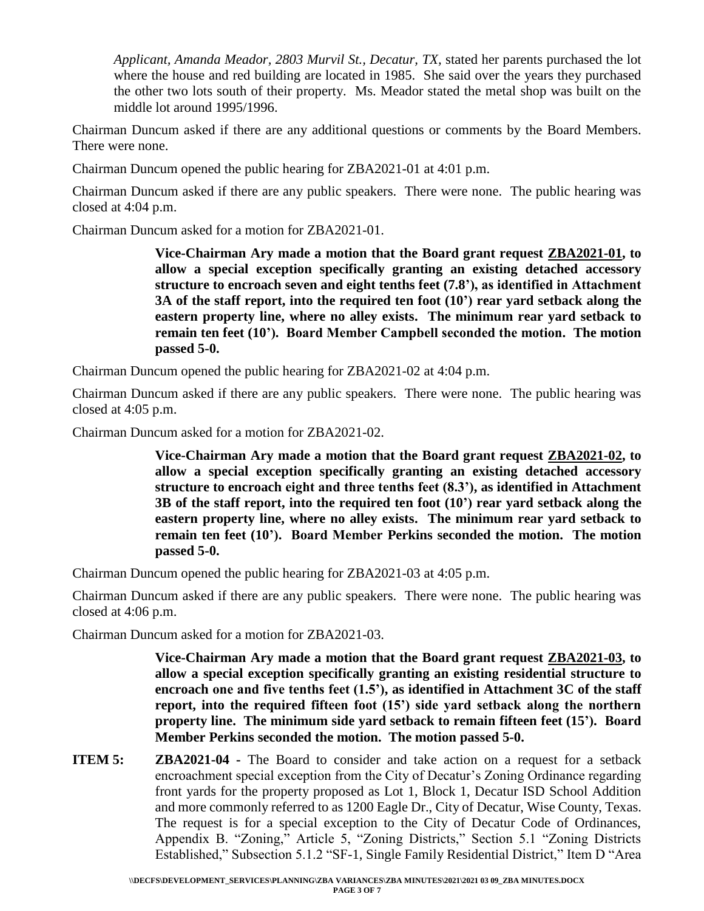*Applicant, Amanda Meador, 2803 Murvil St., Decatur, TX,* stated her parents purchased the lot where the house and red building are located in 1985. She said over the years they purchased the other two lots south of their property. Ms. Meador stated the metal shop was built on the middle lot around 1995/1996.

Chairman Duncum asked if there are any additional questions or comments by the Board Members. There were none.

Chairman Duncum opened the public hearing for ZBA2021-01 at 4:01 p.m.

Chairman Duncum asked if there are any public speakers. There were none. The public hearing was closed at 4:04 p.m.

Chairman Duncum asked for a motion for ZBA2021-01.

**Vice-Chairman Ary made a motion that the Board grant request ZBA2021-01, to allow a special exception specifically granting an existing detached accessory structure to encroach seven and eight tenths feet (7.8'), as identified in Attachment 3A of the staff report, into the required ten foot (10') rear yard setback along the eastern property line, where no alley exists. The minimum rear yard setback to remain ten feet (10'). Board Member Campbell seconded the motion. The motion passed 5-0.**

Chairman Duncum opened the public hearing for ZBA2021-02 at 4:04 p.m.

Chairman Duncum asked if there are any public speakers. There were none. The public hearing was closed at 4:05 p.m.

Chairman Duncum asked for a motion for ZBA2021-02.

**Vice-Chairman Ary made a motion that the Board grant request ZBA2021-02, to allow a special exception specifically granting an existing detached accessory structure to encroach eight and three tenths feet (8.3'), as identified in Attachment 3B of the staff report, into the required ten foot (10') rear yard setback along the eastern property line, where no alley exists. The minimum rear yard setback to remain ten feet (10'). Board Member Perkins seconded the motion. The motion passed 5-0.**

Chairman Duncum opened the public hearing for ZBA2021-03 at 4:05 p.m.

Chairman Duncum asked if there are any public speakers. There were none. The public hearing was closed at 4:06 p.m.

Chairman Duncum asked for a motion for ZBA2021-03.

**Vice-Chairman Ary made a motion that the Board grant request ZBA2021-03, to allow a special exception specifically granting an existing residential structure to encroach one and five tenths feet (1.5'), as identified in Attachment 3C of the staff report, into the required fifteen foot (15') side yard setback along the northern property line. The minimum side yard setback to remain fifteen feet (15'). Board Member Perkins seconded the motion. The motion passed 5-0.**

**ITEM 5: ZBA2021-04** - The Board to consider and take action on a request for a setback encroachment special exception from the City of Decatur's Zoning Ordinance regarding front yards for the property proposed as Lot 1, Block 1, Decatur ISD School Addition and more commonly referred to as 1200 Eagle Dr., City of Decatur, Wise County, Texas. The request is for a special exception to the City of Decatur Code of Ordinances, Appendix B. "Zoning," Article 5, "Zoning Districts," Section 5.1 "Zoning Districts Established," Subsection 5.1.2 "SF-1, Single Family Residential District," Item D "Area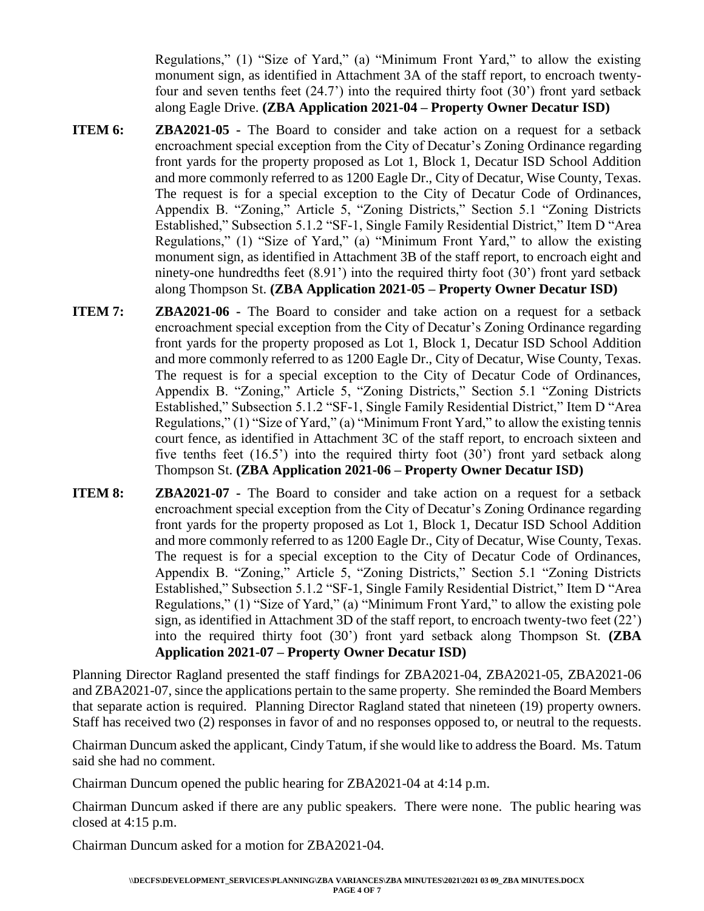Regulations," (1) "Size of Yard," (a) "Minimum Front Yard," to allow the existing monument sign, as identified in Attachment 3A of the staff report, to encroach twentyfour and seven tenths feet (24.7') into the required thirty foot (30') front yard setback along Eagle Drive. **(ZBA Application 2021-04 – Property Owner Decatur ISD)**

- **ITEM 6: ZBA2021-05** The Board to consider and take action on a request for a setback encroachment special exception from the City of Decatur's Zoning Ordinance regarding front yards for the property proposed as Lot 1, Block 1, Decatur ISD School Addition and more commonly referred to as 1200 Eagle Dr., City of Decatur, Wise County, Texas. The request is for a special exception to the City of Decatur Code of Ordinances, Appendix B. "Zoning," Article 5, "Zoning Districts," Section 5.1 "Zoning Districts Established," Subsection 5.1.2 "SF-1, Single Family Residential District," Item D "Area Regulations," (1) "Size of Yard," (a) "Minimum Front Yard," to allow the existing monument sign, as identified in Attachment 3B of the staff report, to encroach eight and ninety-one hundredths feet (8.91') into the required thirty foot (30') front yard setback along Thompson St. **(ZBA Application 2021-05 – Property Owner Decatur ISD)**
- **ITEM 7: ZBA2021-06 -** The Board to consider and take action on a request for a setback encroachment special exception from the City of Decatur's Zoning Ordinance regarding front yards for the property proposed as Lot 1, Block 1, Decatur ISD School Addition and more commonly referred to as 1200 Eagle Dr., City of Decatur, Wise County, Texas. The request is for a special exception to the City of Decatur Code of Ordinances, Appendix B. "Zoning," Article 5, "Zoning Districts," Section 5.1 "Zoning Districts Established," Subsection 5.1.2 "SF-1, Single Family Residential District," Item D "Area Regulations," (1) "Size of Yard," (a) "Minimum Front Yard," to allow the existing tennis court fence, as identified in Attachment 3C of the staff report, to encroach sixteen and five tenths feet (16.5') into the required thirty foot (30') front yard setback along Thompson St. **(ZBA Application 2021-06 – Property Owner Decatur ISD)**
- **ITEM 8: ZBA2021-07** The Board to consider and take action on a request for a setback encroachment special exception from the City of Decatur's Zoning Ordinance regarding front yards for the property proposed as Lot 1, Block 1, Decatur ISD School Addition and more commonly referred to as 1200 Eagle Dr., City of Decatur, Wise County, Texas. The request is for a special exception to the City of Decatur Code of Ordinances, Appendix B. "Zoning," Article 5, "Zoning Districts," Section 5.1 "Zoning Districts Established," Subsection 5.1.2 "SF-1, Single Family Residential District," Item D "Area Regulations," (1) "Size of Yard," (a) "Minimum Front Yard," to allow the existing pole sign, as identified in Attachment 3D of the staff report, to encroach twenty-two feet (22') into the required thirty foot (30') front yard setback along Thompson St. **(ZBA Application 2021-07 – Property Owner Decatur ISD)**

Planning Director Ragland presented the staff findings for ZBA2021-04, ZBA2021-05, ZBA2021-06 and ZBA2021-07, since the applications pertain to the same property. She reminded the Board Members that separate action is required. Planning Director Ragland stated that nineteen (19) property owners. Staff has received two (2) responses in favor of and no responses opposed to, or neutral to the requests.

Chairman Duncum asked the applicant, Cindy Tatum, if she would like to address the Board. Ms. Tatum said she had no comment.

Chairman Duncum opened the public hearing for ZBA2021-04 at 4:14 p.m.

Chairman Duncum asked if there are any public speakers. There were none. The public hearing was closed at 4:15 p.m.

Chairman Duncum asked for a motion for ZBA2021-04.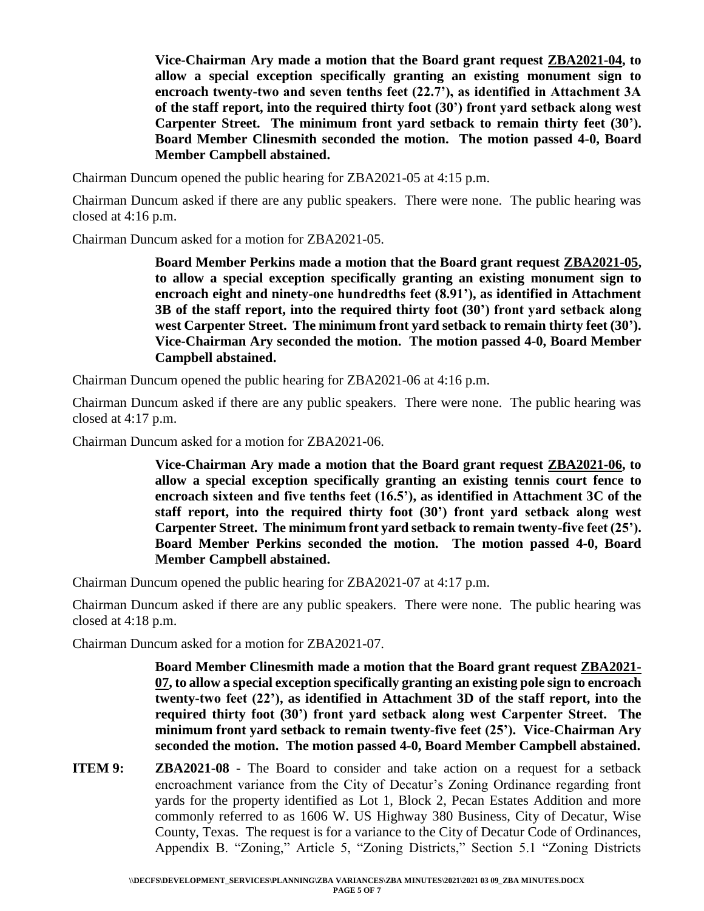**Vice-Chairman Ary made a motion that the Board grant request ZBA2021-04, to allow a special exception specifically granting an existing monument sign to encroach twenty-two and seven tenths feet (22.7'), as identified in Attachment 3A of the staff report, into the required thirty foot (30') front yard setback along west Carpenter Street. The minimum front yard setback to remain thirty feet (30'). Board Member Clinesmith seconded the motion. The motion passed 4-0, Board Member Campbell abstained.**

Chairman Duncum opened the public hearing for ZBA2021-05 at 4:15 p.m.

Chairman Duncum asked if there are any public speakers. There were none. The public hearing was closed at 4:16 p.m.

Chairman Duncum asked for a motion for ZBA2021-05.

**Board Member Perkins made a motion that the Board grant request ZBA2021-05, to allow a special exception specifically granting an existing monument sign to encroach eight and ninety-one hundredths feet (8.91'), as identified in Attachment 3B of the staff report, into the required thirty foot (30') front yard setback along west Carpenter Street. The minimum front yard setback to remain thirty feet (30'). Vice-Chairman Ary seconded the motion. The motion passed 4-0, Board Member Campbell abstained.**

Chairman Duncum opened the public hearing for ZBA2021-06 at 4:16 p.m.

Chairman Duncum asked if there are any public speakers. There were none. The public hearing was closed at 4:17 p.m.

Chairman Duncum asked for a motion for ZBA2021-06.

**Vice-Chairman Ary made a motion that the Board grant request ZBA2021-06, to allow a special exception specifically granting an existing tennis court fence to encroach sixteen and five tenths feet (16.5'), as identified in Attachment 3C of the staff report, into the required thirty foot (30') front yard setback along west Carpenter Street. The minimum front yard setback to remain twenty-five feet (25'). Board Member Perkins seconded the motion. The motion passed 4-0, Board Member Campbell abstained.**

Chairman Duncum opened the public hearing for ZBA2021-07 at 4:17 p.m.

Chairman Duncum asked if there are any public speakers. There were none. The public hearing was closed at 4:18 p.m.

Chairman Duncum asked for a motion for ZBA2021-07.

**Board Member Clinesmith made a motion that the Board grant request ZBA2021- 07, to allow a special exception specifically granting an existing pole sign to encroach twenty-two feet (22'), as identified in Attachment 3D of the staff report, into the required thirty foot (30') front yard setback along west Carpenter Street. The minimum front yard setback to remain twenty-five feet (25'). Vice-Chairman Ary seconded the motion. The motion passed 4-0, Board Member Campbell abstained.**

**ITEM 9: ZBA2021-08 -** The Board to consider and take action on a request for a setback encroachment variance from the City of Decatur's Zoning Ordinance regarding front yards for the property identified as Lot 1, Block 2, Pecan Estates Addition and more commonly referred to as 1606 W. US Highway 380 Business, City of Decatur, Wise County, Texas. The request is for a variance to the City of Decatur Code of Ordinances, Appendix B. "Zoning," Article 5, "Zoning Districts," Section 5.1 "Zoning Districts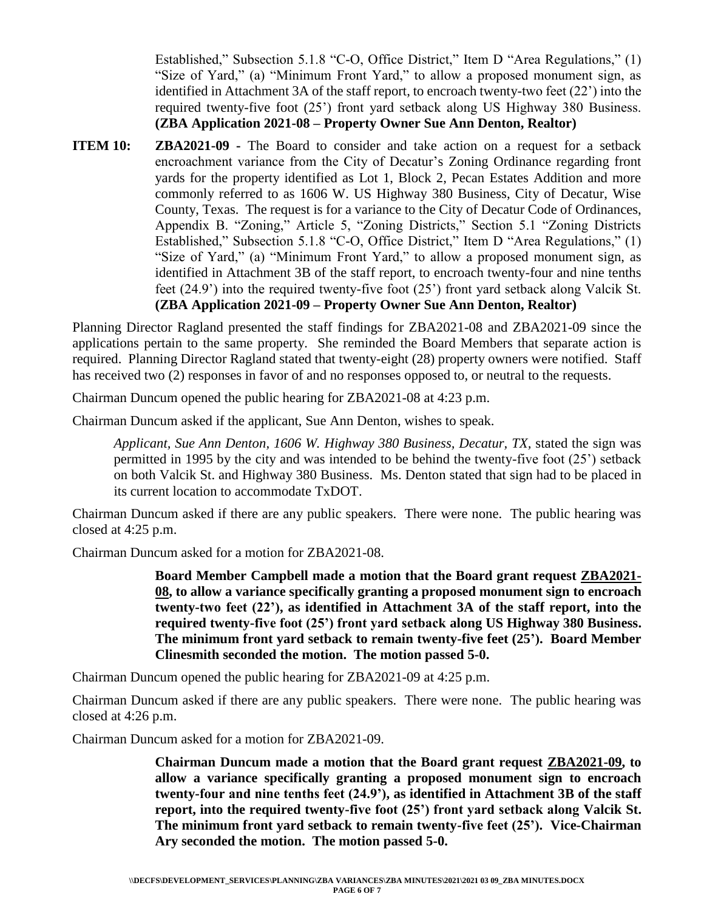Established," Subsection 5.1.8 "C-O, Office District," Item D "Area Regulations," (1) "Size of Yard," (a) "Minimum Front Yard," to allow a proposed monument sign, as identified in Attachment 3A of the staff report, to encroach twenty-two feet (22') into the required twenty-five foot (25') front yard setback along US Highway 380 Business. **(ZBA Application 2021-08 – Property Owner Sue Ann Denton, Realtor)**

**ITEM 10: ZBA2021-09 -** The Board to consider and take action on a request for a setback encroachment variance from the City of Decatur's Zoning Ordinance regarding front yards for the property identified as Lot 1, Block 2, Pecan Estates Addition and more commonly referred to as 1606 W. US Highway 380 Business, City of Decatur, Wise County, Texas. The request is for a variance to the City of Decatur Code of Ordinances, Appendix B. "Zoning," Article 5, "Zoning Districts," Section 5.1 "Zoning Districts Established," Subsection 5.1.8 "C-O, Office District," Item D "Area Regulations," (1) "Size of Yard," (a) "Minimum Front Yard," to allow a proposed monument sign, as identified in Attachment 3B of the staff report, to encroach twenty-four and nine tenths feet (24.9') into the required twenty-five foot (25') front yard setback along Valcik St. **(ZBA Application 2021-09 – Property Owner Sue Ann Denton, Realtor)**

Planning Director Ragland presented the staff findings for ZBA2021-08 and ZBA2021-09 since the applications pertain to the same property. She reminded the Board Members that separate action is required. Planning Director Ragland stated that twenty-eight (28) property owners were notified. Staff has received two (2) responses in favor of and no responses opposed to, or neutral to the requests.

Chairman Duncum opened the public hearing for ZBA2021-08 at 4:23 p.m.

Chairman Duncum asked if the applicant, Sue Ann Denton, wishes to speak.

*Applicant, Sue Ann Denton, 1606 W. Highway 380 Business, Decatur, TX,* stated the sign was permitted in 1995 by the city and was intended to be behind the twenty-five foot (25') setback on both Valcik St. and Highway 380 Business. Ms. Denton stated that sign had to be placed in its current location to accommodate TxDOT.

Chairman Duncum asked if there are any public speakers. There were none. The public hearing was closed at 4:25 p.m.

Chairman Duncum asked for a motion for ZBA2021-08.

**Board Member Campbell made a motion that the Board grant request ZBA2021- 08, to allow a variance specifically granting a proposed monument sign to encroach twenty-two feet (22'), as identified in Attachment 3A of the staff report, into the required twenty-five foot (25') front yard setback along US Highway 380 Business. The minimum front yard setback to remain twenty-five feet (25'). Board Member Clinesmith seconded the motion. The motion passed 5-0.**

Chairman Duncum opened the public hearing for ZBA2021-09 at 4:25 p.m.

Chairman Duncum asked if there are any public speakers. There were none. The public hearing was closed at 4:26 p.m.

Chairman Duncum asked for a motion for ZBA2021-09.

**Chairman Duncum made a motion that the Board grant request ZBA2021-09, to allow a variance specifically granting a proposed monument sign to encroach twenty-four and nine tenths feet (24.9'), as identified in Attachment 3B of the staff report, into the required twenty-five foot (25') front yard setback along Valcik St. The minimum front yard setback to remain twenty-five feet (25'). Vice-Chairman Ary seconded the motion. The motion passed 5-0.**